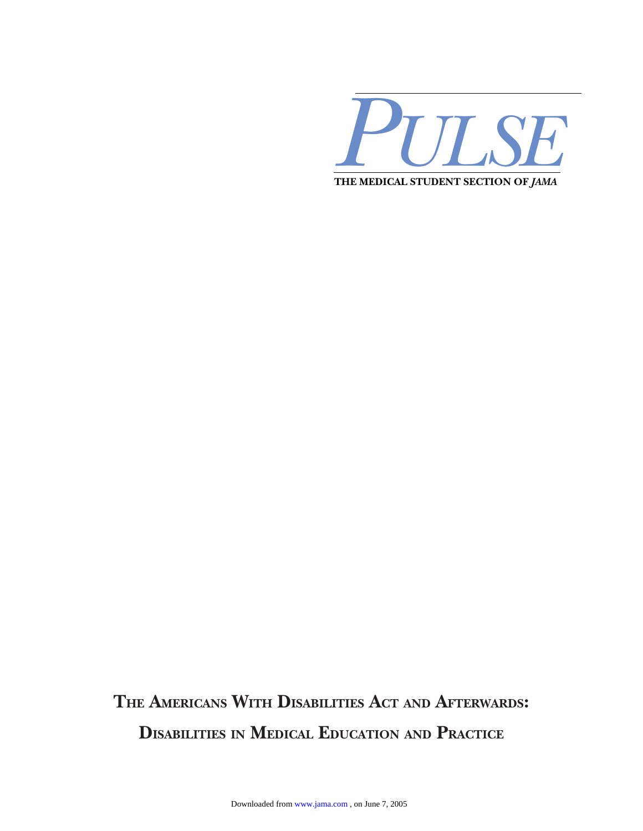

# **THE AMERICANS WITH DISABILITIES ACT AND AFTERWARDS: DISABILITIES IN MEDICAL EDUCATION AND PRACTICE**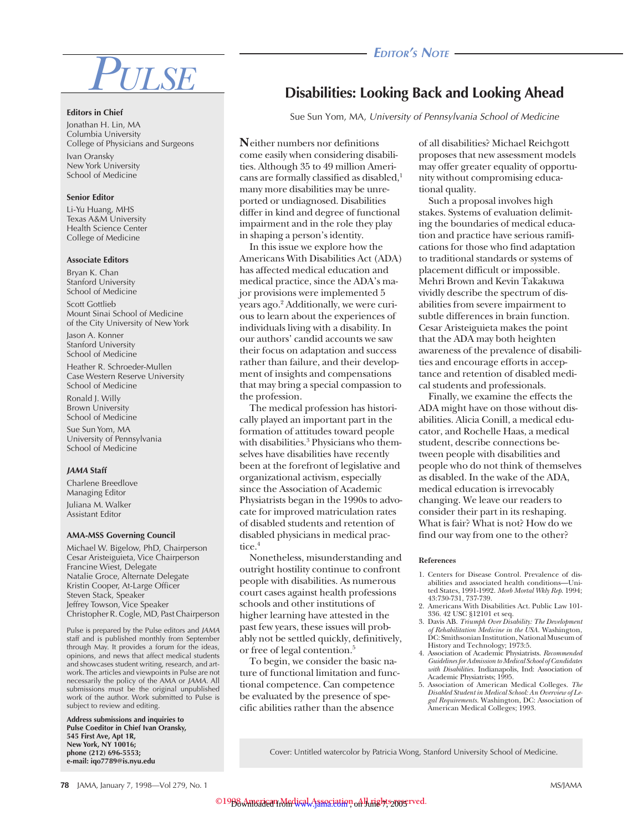

#### **Editors in Chief**

Jonathan H. Lin, MA Columbia University College of Physicians and Surgeons Ivan Oransky New York University School of Medicine

#### **Senior Editor**

Li-Yu Huang, MHS Texas A&M University Health Science Center College of Medicine

#### **Associate Editors**

Bryan K. Chan Stanford University School of Medicine

Scott Gottlieb Mount Sinai School of Medicine of the City University of New York

Jason A. Konner Stanford University School of Medicine

Heather R. Schroeder-Mullen Case Western Reserve University School of Medicine

Ronald J. Willy Brown University School of Medicine

Sue Sun Yom, MA University of Pennsylvania School of Medicine

#### **JAMA Staff**

Charlene Breedlove Managing Editor Juliana M. Walker Assistant Editor

#### **AMA-MSS Governing Council**

Michael W. Bigelow, PhD, Chairperson Cesar Aristeiguieta, Vice Chairperson Francine Wiest, Delegate Natalie Groce, Alternate Delegate Kristin Cooper, At-Large Officer Steven Stack, Speaker Jeffrey Towson, Vice Speaker Christopher R. Cogle, MD, Past Chairperson

Pulse is prepared by the Pulse editors and JAMA staff and is published monthly from September through May. It provides a forum for the ideas, opinions, and news that affect medical students and showcases student writing, research, and artwork. The articles and viewpoints in Pulse are not necessarily the policy of the AMA or JAMA. All submissions must be the original unpublished work of the author. Work submitted to Pulse is subject to review and editing.

**Address submissions and inquiries to Pulse Coeditor in Chief Ivan Oransky, 545 First Ave, Apt 1R, New York, NY 10016; phone (212) 696-5553; e-mail: iqo7789@is.nyu.edu**

# **Disabilities: Looking Back and Looking Ahead**

Sue Sun Yom, MA, University of Pennsylvania School of Medicine

**N**either numbers nor definitions come easily when considering disabilities. Although 35 to 49 million Americans are formally classified as disabled.<sup>1</sup> many more disabilities may be unreported or undiagnosed. Disabilities differ in kind and degree of functional impairment and in the role they play in shaping a person's identity.

In this issue we explore how the Americans With Disabilities Act (ADA) has affected medical education and medical practice, since the ADA's major provisions were implemented 5 years ago.2 Additionally, we were curious to learn about the experiences of individuals living with a disability. In our authors' candid accounts we saw their focus on adaptation and success rather than failure, and their development of insights and compensations that may bring a special compassion to the profession.

The medical profession has historically played an important part in the formation of attitudes toward people with disabilities.<sup>3</sup> Physicians who themselves have disabilities have recently been at the forefront of legislative and organizational activism, especially since the Association of Academic Physiatrists began in the 1990s to advocate for improved matriculation rates of disabled students and retention of disabled physicians in medical practice.<sup>4</sup>

Nonetheless, misunderstanding and outright hostility continue to confront people with disabilities. As numerous court cases against health professions schools and other institutions of higher learning have attested in the past few years, these issues will probably not be settled quickly, definitively, or free of legal contention.<sup>5</sup>

To begin, we consider the basic nature of functional limitation and functional competence. Can competence be evaluated by the presence of specific abilities rather than the absence

of all disabilities? Michael Reichgott proposes that new assessment models may offer greater equality of opportunity without compromising educational quality.

Such a proposal involves high stakes. Systems of evaluation delimiting the boundaries of medical education and practice have serious ramifications for those who find adaptation to traditional standards or systems of placement difficult or impossible. Mehri Brown and Kevin Takakuwa vividly describe the spectrum of disabilities from severe impairment to subtle differences in brain function. Cesar Aristeiguieta makes the point that the ADA may both heighten awareness of the prevalence of disabilities and encourage efforts in acceptance and retention of disabled medical students and professionals.

Finally, we examine the effects the ADA might have on those without disabilities. Alicia Conill, a medical educator, and Rochelle Haas, a medical student, describe connections between people with disabilities and people who do not think of themselves as disabled. In the wake of the ADA, medical education is irrevocably changing. We leave our readers to consider their part in its reshaping. What is fair? What is not? How do we find our way from one to the other?

#### **References**

- 1. Centers for Disease Control. Prevalence of disabilities and associated health conditions—United States, 1991-1992. *Morb Mortal Wkly Rep*. 1994; 43:730-731, 737-739.
- 2. Americans With Disabilities Act. Public Law 101- 336. 42 USC §12101 et seq.
- 3. Davis AB. *Triumph Over Disability: The Development of Rehabilitation Medicine in the USA.* Washington, DC: Smithsonian Institution, National Museum of History and Technology; 1973:5.
- 4. Association of Academic Physiatrists. *Recommended Guidelines for Admission to Medical School of Candidates with Disabilities.* Indianapolis, Ind: Association of Academic Physiatrists; 1995.
- 5. Association of American Medical Colleges. *The Disabled Student in Medical School: An Overview of Legal Requirements.* Washington, DC: Association of American Medical Colleges; 1993.

Cover: Untitled watercolor by Patricia Wong, Stanford University School of Medicine.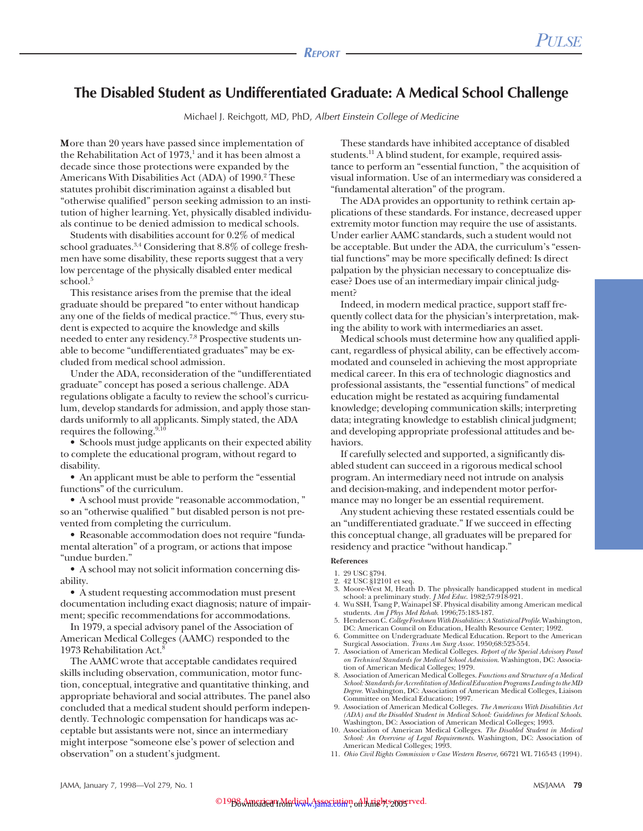# **The Disabled Student as Undifferentiated Graduate: A Medical School Challenge**

Michael J. Reichgott, MD, PhD, Albert Einstein College of Medicine

**M**ore than 20 years have passed since implementation of the Rehabilitation Act of  $1973$ ,<sup>1</sup> and it has been almost a decade since those protections were expanded by the Americans With Disabilities Act (ADA) of 1990.<sup>2</sup> These statutes prohibit discrimination against a disabled but "otherwise qualified" person seeking admission to an institution of higher learning. Yet, physically disabled individuals continue to be denied admission to medical schools.

Students with disabilities account for 0.2% of medical school graduates.3,4 Considering that 8.8% of college freshmen have some disability, these reports suggest that a very low percentage of the physically disabled enter medical school.<sup>5</sup>

This resistance arises from the premise that the ideal graduate should be prepared "to enter without handicap any one of the fields of medical practice."6 Thus, every student is expected to acquire the knowledge and skills needed to enter any residency.<sup>7,8</sup> Prospective students unable to become "undifferentiated graduates" may be excluded from medical school admission.

Under the ADA, reconsideration of the "undifferentiated graduate" concept has posed a serious challenge. ADA regulations obligate a faculty to review the school's curriculum, develop standards for admission, and apply those standards uniformly to all applicants. Simply stated, the ADA requires the following.9,10

• Schools must judge applicants on their expected ability to complete the educational program, without regard to disability.

• An applicant must be able to perform the "essential functions" of the curriculum.

• A school must provide "reasonable accommodation, " so an "otherwise qualified " but disabled person is not prevented from completing the curriculum.

• Reasonable accommodation does not require "fundamental alteration" of a program, or actions that impose "undue burden."

• A school may not solicit information concerning disability.

• A student requesting accommodation must present documentation including exact diagnosis; nature of impairment; specific recommendations for accommodations.

In 1979, a special advisory panel of the Association of American Medical Colleges (AAMC) responded to the 1973 Rehabilitation Act.<sup>8</sup>

The AAMC wrote that acceptable candidates required skills including observation, communication, motor function, conceptual, integrative and quantitative thinking, and appropriate behavioral and social attributes. The panel also concluded that a medical student should perform independently. Technologic compensation for handicaps was acceptable but assistants were not, since an intermediary might interpose "someone else's power of selection and observation" on a student's judgment.

These standards have inhibited acceptance of disabled students.<sup>11</sup> A blind student, for example, required assistance to perform an "essential function, " the acquisition of visual information. Use of an intermediary was considered a "fundamental alteration" of the program.

The ADA provides an opportunity to rethink certain applications of these standards. For instance, decreased upper extremity motor function may require the use of assistants. Under earlier AAMC standards, such a student would not be acceptable. But under the ADA, the curriculum's "essential functions" may be more specifically defined: Is direct palpation by the physician necessary to conceptualize disease? Does use of an intermediary impair clinical judgment?

Indeed, in modern medical practice, support staff frequently collect data for the physician's interpretation, making the ability to work with intermediaries an asset.

Medical schools must determine how any qualified applicant, regardless of physical ability, can be effectively accommodated and counseled in achieving the most appropriate medical career. In this era of technologic diagnostics and professional assistants, the "essential functions" of medical education might be restated as acquiring fundamental knowledge; developing communication skills; interpreting data; integrating knowledge to establish clinical judgment; and developing appropriate professional attitudes and behaviors.

If carefully selected and supported, a significantly disabled student can succeed in a rigorous medical school program. An intermediary need not intrude on analysis and decision-making, and independent motor performance may no longer be an essential requirement.

Any student achieving these restated essentials could be an "undifferentiated graduate." If we succeed in effecting this conceptual change, all graduates will be prepared for residency and practice "without handicap."

#### **References**

- 1. 29 USC §794.<br>2. 42 USC §1210
- 2. 42 USC §12101 et seq.
- 3. Moore-West M, Heath D. The physically handicapped student in medical
- school: a preliminary study. *J Med Educ*. 1982;57:918-921. 4. Wu SSH, Tsang P, Wainapel SF. Physical disability among American medical students. *Am J Phys Med Rehab*. 1996;75:183-187. 5. Henderson C.*College Freshmen With Disabilities: A Statistical Profile*. Washington,
- DC: American Council on Education, Health Resource Center; 1992. 6. Committee on Undergraduate Medical Education. Report to the American
- Surgical Association. *Trans Am Surg Assoc*. 1950;68:523-554. 7. Association of American Medical Colleges. *Report of the Special Advisory Panel*
- *on Technical Standards for Medical School Admission*. Washington, DC: Association of American Medical Colleges; 1979.
- 8. Association of American Medical Colleges. *Functions and Structure of a Medical School: Standards for Accreditation of Medical Education Programs Leading to the MD Degree*. Washington, DC: Association of American Medical Colleges, Liaison Committee on Medical Education; 1997.
- 9. Association of American Medical Colleges. *The Americans With Disabilities Act (ADA) and the Disabled Student in Medical School: Guidelines for Medical Schools*. Washington, DC: Association of American Medical Colleges; 1993.
- 10. Association of American Medical Colleges. *The Disabled Student in Medical School: An Overview of Legal Requirements*. Washington, DC: Association of American Medical Colleges; 1993.
- 11. *Ohio Civil Rights Commission v Case Western Reserve,* 66721 WL 716543 (1994).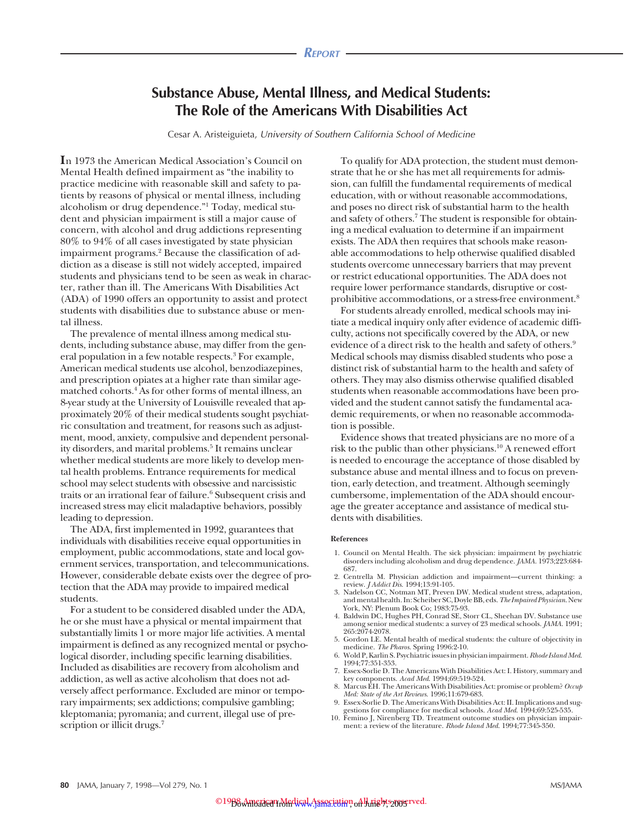# **Substance Abuse, Mental Illness, and Medical Students: The Role of the Americans With Disabilities Act**

Cesar A. Aristeiguieta, University of Southern California School of Medicine

**I**n 1973 the American Medical Association's Council on Mental Health defined impairment as "the inability to practice medicine with reasonable skill and safety to patients by reasons of physical or mental illness, including alcoholism or drug dependence."1 Today, medical student and physician impairment is still a major cause of concern, with alcohol and drug addictions representing 80% to 94% of all cases investigated by state physician impairment programs.2 Because the classification of addiction as a disease is still not widely accepted, impaired students and physicians tend to be seen as weak in character, rather than ill. The Americans With Disabilities Act (ADA) of 1990 offers an opportunity to assist and protect students with disabilities due to substance abuse or mental illness.

The prevalence of mental illness among medical students, including substance abuse, may differ from the general population in a few notable respects.<sup>3</sup> For example, American medical students use alcohol, benzodiazepines, and prescription opiates at a higher rate than similar agematched cohorts.4 As for other forms of mental illness, an 8-year study at the University of Louisville revealed that approximately 20% of their medical students sought psychiatric consultation and treatment, for reasons such as adjustment, mood, anxiety, compulsive and dependent personality disorders, and marital problems.<sup>5</sup> It remains unclear whether medical students are more likely to develop mental health problems. Entrance requirements for medical school may select students with obsessive and narcissistic traits or an irrational fear of failure.<sup>6</sup> Subsequent crisis and increased stress may elicit maladaptive behaviors, possibly leading to depression.

The ADA, first implemented in 1992, guarantees that individuals with disabilities receive equal opportunities in employment, public accommodations, state and local government services, transportation, and telecommunications. However, considerable debate exists over the degree of protection that the ADA may provide to impaired medical students.

For a student to be considered disabled under the ADA, he or she must have a physical or mental impairment that substantially limits 1 or more major life activities. A mental impairment is defined as any recognized mental or psychological disorder, including specific learning disabilities. Included as disabilities are recovery from alcoholism and addiction, as well as active alcoholism that does not adversely affect performance. Excluded are minor or temporary impairments; sex addictions; compulsive gambling; kleptomania; pyromania; and current, illegal use of prescription or illicit drugs.<sup>7</sup>

To qualify for ADA protection, the student must demonstrate that he or she has met all requirements for admission, can fulfill the fundamental requirements of medical education, with or without reasonable accommodations, and poses no direct risk of substantial harm to the health and safety of others.7 The student is responsible for obtaining a medical evaluation to determine if an impairment exists. The ADA then requires that schools make reasonable accommodations to help otherwise qualified disabled students overcome unnecessary barriers that may prevent or restrict educational opportunities. The ADA does not require lower performance standards, disruptive or costprohibitive accommodations, or a stress-free environment.8

For students already enrolled, medical schools may initiate a medical inquiry only after evidence of academic difficulty, actions not specifically covered by the ADA, or new evidence of a direct risk to the health and safety of others.<sup>9</sup> Medical schools may dismiss disabled students who pose a distinct risk of substantial harm to the health and safety of others. They may also dismiss otherwise qualified disabled students when reasonable accommodations have been provided and the student cannot satisfy the fundamental academic requirements, or when no reasonable accommodation is possible.

Evidence shows that treated physicians are no more of a risk to the public than other physicians.10 A renewed effort is needed to encourage the acceptance of those disabled by substance abuse and mental illness and to focus on prevention, early detection, and treatment. Although seemingly cumbersome, implementation of the ADA should encourage the greater acceptance and assistance of medical students with disabilities.

#### **References**

- 1. Council on Mental Health. The sick physician: impairment by psychiatric disorders including alcoholism and drug dependence. *JAMA*. 1973;223:684- 687.
- 2. Centrella M. Physician addiction and impairment—current thinking: a review. *J Addict Dis*. 1994;13:91-105.
- 3. Nadelson CC, Notman MT, Preven DW. Medical student stress, adaptation, and mental health. In: Scheiber SC, Doyle BB, eds.*The Impaired Physician*. New York, NY: Plenum Book Co; 1983:75-93.
- 4. Baldwin DC, Hughes PH, Conrad SE, Storr CL, Sheehan DV. Substance use among senior medical students: a survey of 23 medical schools. *JAMA*. 1991; 265:2074-2078.
- 5. Gordon LE. Mental health of medical students: the culture of objectivity in medicine. *The Pharos*. Spring 1996:2-10.
- 6. Wold P, Karlin S. Psychiatric issues in physician impairment.*Rhode Island Med*. 1994;77:351-353.
- 7. Essex-Sorlie D. The Americans With Disabilities Act: I. History, summary and key components. *Acad Med*. 1994;69:519-524. 8. Marcus EH. The Americans With Disabilities Act: promise or problem? *Occup*
- *Med: State of the Art Reviews*. 1996;11:679-683. 9. Essex-Sorlie D. The Americans With Disabilities Act: II. Implications and sug-
- gestions for compliance for medical schools. *Acad Med*. 1994;69:525-535.
- 10. Femino J, Nirenberg TD. Treatment outcome studies on physician impairment: a review of the literature. *Rhode Island Med*. 1994;77:345-350.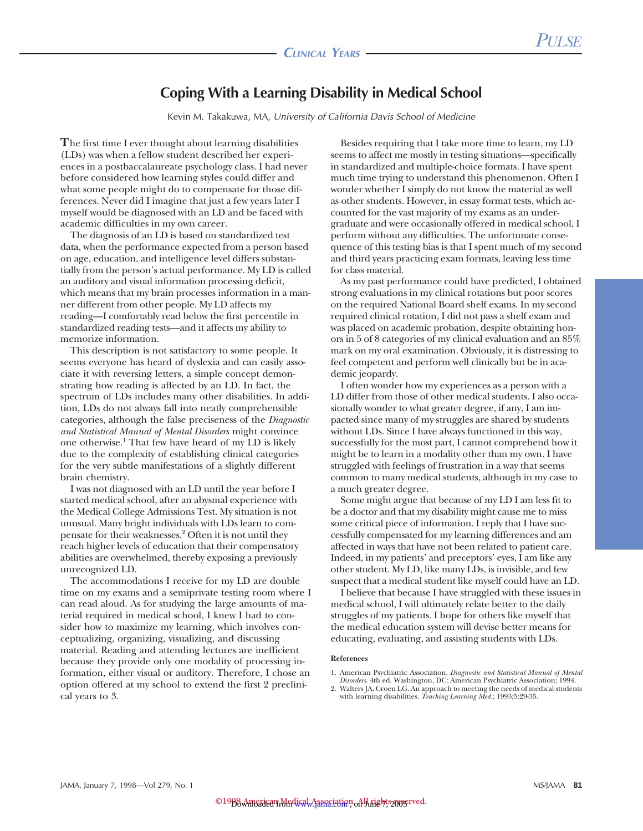# **Coping With a Learning Disability in Medical School**

Kevin M. Takakuwa, MA, University of California Davis School of Medicine

**T**he first time I ever thought about learning disabilities (LDs) was when a fellow student described her experiences in a postbaccalaureate psychology class. I had never before considered how learning styles could differ and what some people might do to compensate for those differences. Never did I imagine that just a few years later I myself would be diagnosed with an LD and be faced with academic difficulties in my own career.

The diagnosis of an LD is based on standardized test data, when the performance expected from a person based on age, education, and intelligence level differs substantially from the person's actual performance. My LD is called an auditory and visual information processing deficit, which means that my brain processes information in a manner different from other people. My LD affects my reading—I comfortably read below the first percentile in standardized reading tests—and it affects my ability to memorize information.

This description is not satisfactory to some people. It seems everyone has heard of dyslexia and can easily associate it with reversing letters, a simple concept demonstrating how reading is affected by an LD. In fact, the spectrum of LDs includes many other disabilities. In addition, LDs do not always fall into neatly comprehensible categories, although the false preciseness of the *Diagnostic and Statistical Manual of Mental Disorders* might convince one otherwise.1 That few have heard of my LD is likely due to the complexity of establishing clinical categories for the very subtle manifestations of a slightly different brain chemistry.

I was not diagnosed with an LD until the year before I started medical school, after an abysmal experience with the Medical College Admissions Test. My situation is not unusual. Many bright individuals with LDs learn to compensate for their weaknesses.2 Often it is not until they reach higher levels of education that their compensatory abilities are overwhelmed, thereby exposing a previously unrecognized LD.

The accommodations I receive for my LD are double time on my exams and a semiprivate testing room where I can read aloud. As for studying the large amounts of material required in medical school, I knew I had to consider how to maximize my learning, which involves conceptualizing, organizing, visualizing, and discussing material. Reading and attending lectures are inefficient because they provide only one modality of processing information, either visual or auditory. Therefore, I chose an option offered at my school to extend the first 2 preclinical years to 3.

Besides requiring that I take more time to learn, my LD seems to affect me mostly in testing situations—specifically in standardized and multiple-choice formats. I have spent much time trying to understand this phenomenon. Often I wonder whether I simply do not know the material as well as other students. However, in essay format tests, which accounted for the vast majority of my exams as an undergraduate and were occasionally offered in medical school, I perform without any difficulties. The unfortunate consequence of this testing bias is that I spent much of my second and third years practicing exam formats, leaving less time for class material.

As my past performance could have predicted, I obtained strong evaluations in my clinical rotations but poor scores on the required National Board shelf exams. In my second required clinical rotation, I did not pass a shelf exam and was placed on academic probation, despite obtaining honors in 5 of 8 categories of my clinical evaluation and an 85% mark on my oral examination. Obviously, it is distressing to feel competent and perform well clinically but be in academic jeopardy.

I often wonder how my experiences as a person with a LD differ from those of other medical students. I also occasionally wonder to what greater degree, if any, I am impacted since many of my struggles are shared by students without LDs. Since I have always functioned in this way, successfully for the most part, I cannot comprehend how it might be to learn in a modality other than my own. I have struggled with feelings of frustration in a way that seems common to many medical students, although in my case to a much greater degree.

Some might argue that because of my LD I am less fit to be a doctor and that my disability might cause me to miss some critical piece of information. I reply that I have successfully compensated for my learning differences and am affected in ways that have not been related to patient care. Indeed, in my patients' and preceptors' eyes, I am like any other student. My LD, like many LDs, is invisible, and few suspect that a medical student like myself could have an LD.

I believe that because I have struggled with these issues in medical school, I will ultimately relate better to the daily struggles of my patients. I hope for others like myself that the medical education system will devise better means for educating, evaluating, and assisting students with LDs.

#### **References**

2. Walters JA, Croen LG. An approach to meeting the needs of medical students with learning disabilities. *Teaching Learning Med.*; 1993;5:29-35.

<sup>1.</sup> American Psychiatric Association. *Diagnostic and Statistical Manual of Mental Disorders*. 4th ed. Washington, DC: American Psychiatric Association; 1994.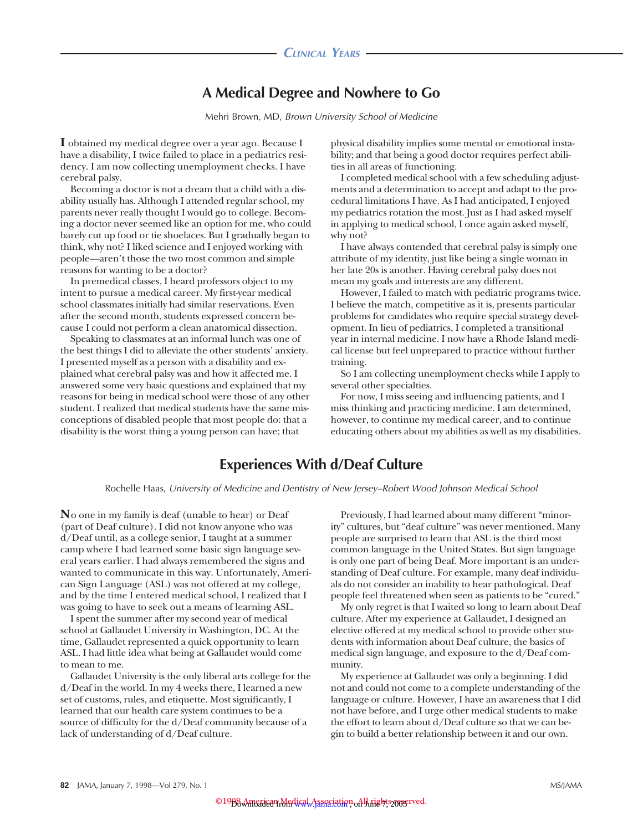# **A Medical Degree and Nowhere to Go**

Mehri Brown, MD, Brown University School of Medicine

**I** obtained my medical degree over a year ago. Because I have a disability, I twice failed to place in a pediatrics residency. I am now collecting unemployment checks. I have cerebral palsy.

Becoming a doctor is not a dream that a child with a disability usually has. Although I attended regular school, my parents never really thought I would go to college. Becoming a doctor never seemed like an option for me, who could barely cut up food or tie shoelaces. But I gradually began to think, why not? I liked science and I enjoyed working with people—aren't those the two most common and simple reasons for wanting to be a doctor?

In premedical classes, I heard professors object to my intent to pursue a medical career. My first-year medical school classmates initially had similar reservations. Even after the second month, students expressed concern because I could not perform a clean anatomical dissection.

Speaking to classmates at an informal lunch was one of the best things I did to alleviate the other students' anxiety. I presented myself as a person with a disability and explained what cerebral palsy was and how it affected me. I answered some very basic questions and explained that my reasons for being in medical school were those of any other student. I realized that medical students have the same misconceptions of disabled people that most people do: that a disability is the worst thing a young person can have; that

physical disability implies some mental or emotional instability; and that being a good doctor requires perfect abilities in all areas of functioning.

I completed medical school with a few scheduling adjustments and a determination to accept and adapt to the procedural limitations I have. As I had anticipated, I enjoyed my pediatrics rotation the most. Just as I had asked myself in applying to medical school, I once again asked myself, why not?

I have always contended that cerebral palsy is simply one attribute of my identity, just like being a single woman in her late 20s is another. Having cerebral palsy does not mean my goals and interests are any different.

However, I failed to match with pediatric programs twice. I believe the match, competitive as it is, presents particular problems for candidates who require special strategy development. In lieu of pediatrics, I completed a transitional year in internal medicine. I now have a Rhode Island medical license but feel unprepared to practice without further training.

So I am collecting unemployment checks while I apply to several other specialties.

For now, I miss seeing and influencing patients, and I miss thinking and practicing medicine. I am determined, however, to continue my medical career, and to continue educating others about my abilities as well as my disabilities.

## **Experiences With d/Deaf Culture**

Rochelle Haas, University of Medicine and Dentistry of New Jersey–Robert Wood Johnson Medical School

**N**o one in my family is deaf (unable to hear) or Deaf (part of Deaf culture). I did not know anyone who was d/Deaf until, as a college senior, I taught at a summer camp where I had learned some basic sign language several years earlier. I had always remembered the signs and wanted to communicate in this way. Unfortunately, American Sign Language (ASL) was not offered at my college, and by the time I entered medical school, I realized that I was going to have to seek out a means of learning ASL.

I spent the summer after my second year of medical school at Gallaudet University in Washington, DC. At the time, Gallaudet represented a quick opportunity to learn ASL. I had little idea what being at Gallaudet would come to mean to me.

Gallaudet University is the only liberal arts college for the d/Deaf in the world. In my 4 weeks there, I learned a new set of customs, rules, and etiquette. Most significantly, I learned that our health care system continues to be a source of difficulty for the d/Deaf community because of a lack of understanding of d/Deaf culture.

Previously, I had learned about many different "minority" cultures, but "deaf culture" was never mentioned. Many people are surprised to learn that ASL is the third most common language in the United States. But sign language is only one part of being Deaf. More important is an understanding of Deaf culture. For example, many deaf individuals do not consider an inability to hear pathological. Deaf people feel threatened when seen as patients to be "cured."

My only regret is that I waited so long to learn about Deaf culture. After my experience at Gallaudet, I designed an elective offered at my medical school to provide other students with information about Deaf culture, the basics of medical sign language, and exposure to the d/Deaf community.

My experience at Gallaudet was only a beginning. I did not and could not come to a complete understanding of the language or culture. However, I have an awareness that I did not have before, and I urge other medical students to make the effort to learn about d/Deaf culture so that we can begin to build a better relationship between it and our own.